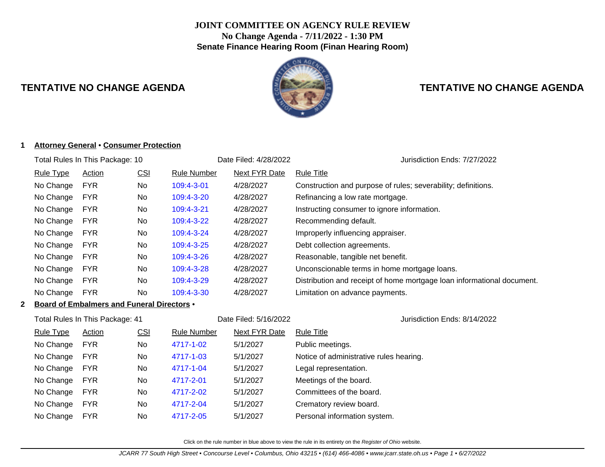# **JOINT COMMITTEE ON AGENCY RULE REVIEW No Change Agenda - 7/11/2022 - 1:30 PM Senate Finance Hearing Room (Finan Hearing Room)**



# **TENTATIVE NO CHANGE AGENDA TENTATIVE NO CHANGE AGENDA**

#### **1 Attorney General** • **Consumer Protection**

| Total Rules In This Package: 10 |                  |               |            | Date Filed: 4/28/2022 | Jurisdiction Ends: 7/27/2022 |                                                                        |
|---------------------------------|------------------|---------------|------------|-----------------------|------------------------------|------------------------------------------------------------------------|
|                                 | <b>Rule Type</b> | <b>Action</b> | <u>CSI</u> | <b>Rule Number</b>    | <b>Next FYR Date</b>         | <b>Rule Title</b>                                                      |
|                                 | No Change        | <b>FYR</b>    | <b>No</b>  | 109:4-3-01            | 4/28/2027                    | Construction and purpose of rules; severability; definitions.          |
|                                 | No Change        | <b>FYR</b>    | No         | 109:4-3-20            | 4/28/2027                    | Refinancing a low rate mortgage.                                       |
|                                 | No Change        | <b>FYR</b>    | No         | 109:4-3-21            | 4/28/2027                    | Instructing consumer to ignore information.                            |
|                                 | No Change        | <b>FYR</b>    | No         | 109:4-3-22            | 4/28/2027                    | Recommending default.                                                  |
|                                 | No Change        | <b>FYR</b>    | No         | 109:4-3-24            | 4/28/2027                    | Improperly influencing appraiser.                                      |
|                                 | No Change        | <b>FYR</b>    | No         | 109:4-3-25            | 4/28/2027                    | Debt collection agreements.                                            |
|                                 | No Change        | <b>FYR</b>    | No         | 109:4-3-26            | 4/28/2027                    | Reasonable, tangible net benefit.                                      |
|                                 | No Change        | <b>FYR</b>    | No         | 109:4-3-28            | 4/28/2027                    | Unconscionable terms in home mortgage loans.                           |
|                                 | No Change        | <b>FYR</b>    | No         | 109:4-3-29            | 4/28/2027                    | Distribution and receipt of home mortgage loan informational document. |
|                                 | No Change        | <b>FYR</b>    | No         | 109:4-3-30            | 4/28/2027                    | Limitation on advance payments.                                        |
|                                 |                  |               |            |                       |                              |                                                                        |

# **2 Board of Embalmers and Funeral Directors** •

| Total Rules In This Package: 41 |               |            |             | Date Filed: 5/16/2022 | Jurisdiction Ends: 8/14/2022            |
|---------------------------------|---------------|------------|-------------|-----------------------|-----------------------------------------|
| Rule Type                       | <b>Action</b> | <u>CSI</u> | Rule Number | Next FYR Date         | <b>Rule Title</b>                       |
| No Change                       | <b>FYR</b>    | No.        | 4717-1-02   | 5/1/2027              | Public meetings.                        |
| No Change                       | <b>FYR</b>    | No.        | 4717-1-03   | 5/1/2027              | Notice of administrative rules hearing. |
| No Change                       | <b>FYR</b>    | No         | 4717-1-04   | 5/1/2027              | Legal representation.                   |
| No Change                       | <b>FYR</b>    | No.        | 4717-2-01   | 5/1/2027              | Meetings of the board.                  |
| No Change                       | <b>FYR</b>    | No.        | 4717-2-02   | 5/1/2027              | Committees of the board.                |
| No Change                       | <b>FYR</b>    | No.        | 4717-2-04   | 5/1/2027              | Crematory review board.                 |
| No Change                       | <b>FYR</b>    | No.        | 4717-2-05   | 5/1/2027              | Personal information system.            |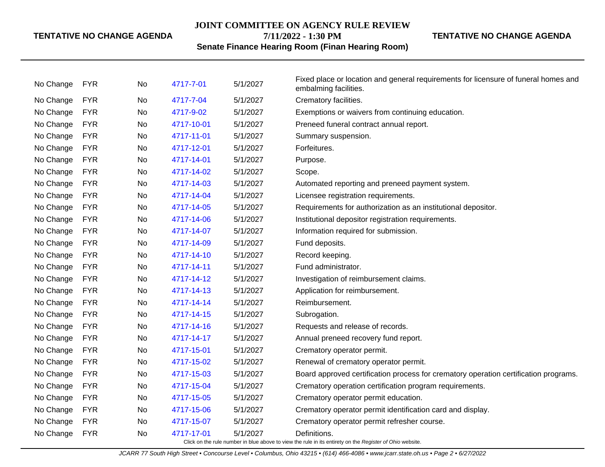#### **JOINT COMMITTEE ON AGENCY RULE REVIEW**

**7/11/2022 - 1:30 PM**

**TENTATIVE NO CHANGE AGENDA**

# **Senate Finance Hearing Room (Finan Hearing Room)**

| <b>FYR</b><br>4717-7-04<br>5/1/2027<br>Crematory facilities.<br>No Change<br>No<br><b>FYR</b><br>5/1/2027<br>No Change<br>4717-9-02<br>Exemptions or waivers from continuing education.<br>No<br>No Change<br><b>FYR</b><br>4717-10-01<br>5/1/2027<br>No<br>Preneed funeral contract annual report.<br>No Change<br><b>FYR</b><br>4717-11-01<br>5/1/2027<br>No<br>Summary suspension.<br><b>FYR</b><br>No Change<br>4717-12-01<br>5/1/2027<br>Forfeitures.<br>No.<br><b>FYR</b><br>5/1/2027<br>No Change<br>4717-14-01<br>Purpose.<br>No<br>No Change<br><b>FYR</b><br>5/1/2027<br>4717-14-02<br>Scope.<br>No.<br><b>FYR</b><br>No Change<br>4717-14-03<br>5/1/2027<br>No<br>Automated reporting and preneed payment system.<br>No Change<br><b>FYR</b><br>4717-14-04<br>5/1/2027<br>Licensee registration requirements.<br>No<br><b>FYR</b><br>No Change<br>No<br>4717-14-05<br>5/1/2027<br>Requirements for authorization as an institutional depositor.<br>No Change<br><b>FYR</b><br>5/1/2027<br>Institutional depositor registration requirements.<br>No<br>4717-14-06<br><b>FYR</b><br>No Change<br>5/1/2027<br>Information required for submission.<br>No<br>4717-14-07<br><b>FYR</b><br>5/1/2027<br>No Change<br>4717-14-09<br>Fund deposits.<br>No<br>No Change<br><b>FYR</b><br>4717-14-10<br>5/1/2027<br>Record keeping.<br>No<br><b>FYR</b><br>No Change<br>4717-14-11<br>5/1/2027<br>Fund administrator.<br>No.<br><b>FYR</b><br>No Change<br>4717-14-12<br>5/1/2027<br>Investigation of reimbursement claims.<br>No<br>No Change<br><b>FYR</b><br>5/1/2027<br>4717-14-13<br>Application for reimbursement.<br>No.<br>No Change<br><b>FYR</b><br>4717-14-14<br>5/1/2027<br>Reimbursement.<br>No<br><b>FYR</b><br>5/1/2027<br>No Change<br>4717-14-15<br>No.<br>Subrogation.<br><b>FYR</b><br>No Change<br>4717-14-16<br>5/1/2027<br>Requests and release of records.<br>No.<br><b>FYR</b><br>No Change<br>5/1/2027<br>4717-14-17<br>Annual preneed recovery fund report.<br>No.<br><b>FYR</b><br>No Change<br>4717-15-01<br>5/1/2027<br>Crematory operator permit.<br>No<br><b>FYR</b><br>No Change<br>4717-15-02<br>5/1/2027<br>Renewal of crematory operator permit.<br>No<br><b>FYR</b><br>4717-15-03<br>5/1/2027<br>No Change<br>No<br>Board approved certification process for crematory operation certification programs.<br>No Change<br><b>FYR</b><br>4717-15-04<br>5/1/2027<br>No<br>Crematory operation certification program requirements.<br><b>FYR</b><br>No Change<br>4717-15-05<br>5/1/2027<br>No<br>Crematory operator permit education.<br><b>FYR</b><br>5/1/2027<br>No Change<br>4717-15-06<br>Crematory operator permit identification card and display.<br>No.<br><b>FYR</b><br>No Change<br>No<br>4717-15-07<br>5/1/2027<br>Crematory operator permit refresher course.<br>No Change<br><b>FYR</b><br>4717-17-01<br>5/1/2027<br>Definitions.<br>No | No Change | <b>FYR</b> | No | 4717-7-01 | 5/1/2027 | Fixed place or location and general requirements for licensure of funeral homes and<br>embalming facilities. |
|--------------------------------------------------------------------------------------------------------------------------------------------------------------------------------------------------------------------------------------------------------------------------------------------------------------------------------------------------------------------------------------------------------------------------------------------------------------------------------------------------------------------------------------------------------------------------------------------------------------------------------------------------------------------------------------------------------------------------------------------------------------------------------------------------------------------------------------------------------------------------------------------------------------------------------------------------------------------------------------------------------------------------------------------------------------------------------------------------------------------------------------------------------------------------------------------------------------------------------------------------------------------------------------------------------------------------------------------------------------------------------------------------------------------------------------------------------------------------------------------------------------------------------------------------------------------------------------------------------------------------------------------------------------------------------------------------------------------------------------------------------------------------------------------------------------------------------------------------------------------------------------------------------------------------------------------------------------------------------------------------------------------------------------------------------------------------------------------------------------------------------------------------------------------------------------------------------------------------------------------------------------------------------------------------------------------------------------------------------------------------------------------------------------------------------------------------------------------------------------------------------------------------------------------------------------------------------------------------------------------------------------------------------------------------------------------------------------------------------------------------------------------------------------------------------------------------------------------------------------------------------------|-----------|------------|----|-----------|----------|--------------------------------------------------------------------------------------------------------------|
|                                                                                                                                                                                                                                                                                                                                                                                                                                                                                                                                                                                                                                                                                                                                                                                                                                                                                                                                                                                                                                                                                                                                                                                                                                                                                                                                                                                                                                                                                                                                                                                                                                                                                                                                                                                                                                                                                                                                                                                                                                                                                                                                                                                                                                                                                                                                                                                                                                                                                                                                                                                                                                                                                                                                                                                                                                                                                      |           |            |    |           |          |                                                                                                              |
|                                                                                                                                                                                                                                                                                                                                                                                                                                                                                                                                                                                                                                                                                                                                                                                                                                                                                                                                                                                                                                                                                                                                                                                                                                                                                                                                                                                                                                                                                                                                                                                                                                                                                                                                                                                                                                                                                                                                                                                                                                                                                                                                                                                                                                                                                                                                                                                                                                                                                                                                                                                                                                                                                                                                                                                                                                                                                      |           |            |    |           |          |                                                                                                              |
|                                                                                                                                                                                                                                                                                                                                                                                                                                                                                                                                                                                                                                                                                                                                                                                                                                                                                                                                                                                                                                                                                                                                                                                                                                                                                                                                                                                                                                                                                                                                                                                                                                                                                                                                                                                                                                                                                                                                                                                                                                                                                                                                                                                                                                                                                                                                                                                                                                                                                                                                                                                                                                                                                                                                                                                                                                                                                      |           |            |    |           |          |                                                                                                              |
|                                                                                                                                                                                                                                                                                                                                                                                                                                                                                                                                                                                                                                                                                                                                                                                                                                                                                                                                                                                                                                                                                                                                                                                                                                                                                                                                                                                                                                                                                                                                                                                                                                                                                                                                                                                                                                                                                                                                                                                                                                                                                                                                                                                                                                                                                                                                                                                                                                                                                                                                                                                                                                                                                                                                                                                                                                                                                      |           |            |    |           |          |                                                                                                              |
|                                                                                                                                                                                                                                                                                                                                                                                                                                                                                                                                                                                                                                                                                                                                                                                                                                                                                                                                                                                                                                                                                                                                                                                                                                                                                                                                                                                                                                                                                                                                                                                                                                                                                                                                                                                                                                                                                                                                                                                                                                                                                                                                                                                                                                                                                                                                                                                                                                                                                                                                                                                                                                                                                                                                                                                                                                                                                      |           |            |    |           |          |                                                                                                              |
|                                                                                                                                                                                                                                                                                                                                                                                                                                                                                                                                                                                                                                                                                                                                                                                                                                                                                                                                                                                                                                                                                                                                                                                                                                                                                                                                                                                                                                                                                                                                                                                                                                                                                                                                                                                                                                                                                                                                                                                                                                                                                                                                                                                                                                                                                                                                                                                                                                                                                                                                                                                                                                                                                                                                                                                                                                                                                      |           |            |    |           |          |                                                                                                              |
|                                                                                                                                                                                                                                                                                                                                                                                                                                                                                                                                                                                                                                                                                                                                                                                                                                                                                                                                                                                                                                                                                                                                                                                                                                                                                                                                                                                                                                                                                                                                                                                                                                                                                                                                                                                                                                                                                                                                                                                                                                                                                                                                                                                                                                                                                                                                                                                                                                                                                                                                                                                                                                                                                                                                                                                                                                                                                      |           |            |    |           |          |                                                                                                              |
|                                                                                                                                                                                                                                                                                                                                                                                                                                                                                                                                                                                                                                                                                                                                                                                                                                                                                                                                                                                                                                                                                                                                                                                                                                                                                                                                                                                                                                                                                                                                                                                                                                                                                                                                                                                                                                                                                                                                                                                                                                                                                                                                                                                                                                                                                                                                                                                                                                                                                                                                                                                                                                                                                                                                                                                                                                                                                      |           |            |    |           |          |                                                                                                              |
|                                                                                                                                                                                                                                                                                                                                                                                                                                                                                                                                                                                                                                                                                                                                                                                                                                                                                                                                                                                                                                                                                                                                                                                                                                                                                                                                                                                                                                                                                                                                                                                                                                                                                                                                                                                                                                                                                                                                                                                                                                                                                                                                                                                                                                                                                                                                                                                                                                                                                                                                                                                                                                                                                                                                                                                                                                                                                      |           |            |    |           |          |                                                                                                              |
|                                                                                                                                                                                                                                                                                                                                                                                                                                                                                                                                                                                                                                                                                                                                                                                                                                                                                                                                                                                                                                                                                                                                                                                                                                                                                                                                                                                                                                                                                                                                                                                                                                                                                                                                                                                                                                                                                                                                                                                                                                                                                                                                                                                                                                                                                                                                                                                                                                                                                                                                                                                                                                                                                                                                                                                                                                                                                      |           |            |    |           |          |                                                                                                              |
|                                                                                                                                                                                                                                                                                                                                                                                                                                                                                                                                                                                                                                                                                                                                                                                                                                                                                                                                                                                                                                                                                                                                                                                                                                                                                                                                                                                                                                                                                                                                                                                                                                                                                                                                                                                                                                                                                                                                                                                                                                                                                                                                                                                                                                                                                                                                                                                                                                                                                                                                                                                                                                                                                                                                                                                                                                                                                      |           |            |    |           |          |                                                                                                              |
|                                                                                                                                                                                                                                                                                                                                                                                                                                                                                                                                                                                                                                                                                                                                                                                                                                                                                                                                                                                                                                                                                                                                                                                                                                                                                                                                                                                                                                                                                                                                                                                                                                                                                                                                                                                                                                                                                                                                                                                                                                                                                                                                                                                                                                                                                                                                                                                                                                                                                                                                                                                                                                                                                                                                                                                                                                                                                      |           |            |    |           |          |                                                                                                              |
|                                                                                                                                                                                                                                                                                                                                                                                                                                                                                                                                                                                                                                                                                                                                                                                                                                                                                                                                                                                                                                                                                                                                                                                                                                                                                                                                                                                                                                                                                                                                                                                                                                                                                                                                                                                                                                                                                                                                                                                                                                                                                                                                                                                                                                                                                                                                                                                                                                                                                                                                                                                                                                                                                                                                                                                                                                                                                      |           |            |    |           |          |                                                                                                              |
|                                                                                                                                                                                                                                                                                                                                                                                                                                                                                                                                                                                                                                                                                                                                                                                                                                                                                                                                                                                                                                                                                                                                                                                                                                                                                                                                                                                                                                                                                                                                                                                                                                                                                                                                                                                                                                                                                                                                                                                                                                                                                                                                                                                                                                                                                                                                                                                                                                                                                                                                                                                                                                                                                                                                                                                                                                                                                      |           |            |    |           |          |                                                                                                              |
|                                                                                                                                                                                                                                                                                                                                                                                                                                                                                                                                                                                                                                                                                                                                                                                                                                                                                                                                                                                                                                                                                                                                                                                                                                                                                                                                                                                                                                                                                                                                                                                                                                                                                                                                                                                                                                                                                                                                                                                                                                                                                                                                                                                                                                                                                                                                                                                                                                                                                                                                                                                                                                                                                                                                                                                                                                                                                      |           |            |    |           |          |                                                                                                              |
|                                                                                                                                                                                                                                                                                                                                                                                                                                                                                                                                                                                                                                                                                                                                                                                                                                                                                                                                                                                                                                                                                                                                                                                                                                                                                                                                                                                                                                                                                                                                                                                                                                                                                                                                                                                                                                                                                                                                                                                                                                                                                                                                                                                                                                                                                                                                                                                                                                                                                                                                                                                                                                                                                                                                                                                                                                                                                      |           |            |    |           |          |                                                                                                              |
|                                                                                                                                                                                                                                                                                                                                                                                                                                                                                                                                                                                                                                                                                                                                                                                                                                                                                                                                                                                                                                                                                                                                                                                                                                                                                                                                                                                                                                                                                                                                                                                                                                                                                                                                                                                                                                                                                                                                                                                                                                                                                                                                                                                                                                                                                                                                                                                                                                                                                                                                                                                                                                                                                                                                                                                                                                                                                      |           |            |    |           |          |                                                                                                              |
|                                                                                                                                                                                                                                                                                                                                                                                                                                                                                                                                                                                                                                                                                                                                                                                                                                                                                                                                                                                                                                                                                                                                                                                                                                                                                                                                                                                                                                                                                                                                                                                                                                                                                                                                                                                                                                                                                                                                                                                                                                                                                                                                                                                                                                                                                                                                                                                                                                                                                                                                                                                                                                                                                                                                                                                                                                                                                      |           |            |    |           |          |                                                                                                              |
|                                                                                                                                                                                                                                                                                                                                                                                                                                                                                                                                                                                                                                                                                                                                                                                                                                                                                                                                                                                                                                                                                                                                                                                                                                                                                                                                                                                                                                                                                                                                                                                                                                                                                                                                                                                                                                                                                                                                                                                                                                                                                                                                                                                                                                                                                                                                                                                                                                                                                                                                                                                                                                                                                                                                                                                                                                                                                      |           |            |    |           |          |                                                                                                              |
|                                                                                                                                                                                                                                                                                                                                                                                                                                                                                                                                                                                                                                                                                                                                                                                                                                                                                                                                                                                                                                                                                                                                                                                                                                                                                                                                                                                                                                                                                                                                                                                                                                                                                                                                                                                                                                                                                                                                                                                                                                                                                                                                                                                                                                                                                                                                                                                                                                                                                                                                                                                                                                                                                                                                                                                                                                                                                      |           |            |    |           |          |                                                                                                              |
|                                                                                                                                                                                                                                                                                                                                                                                                                                                                                                                                                                                                                                                                                                                                                                                                                                                                                                                                                                                                                                                                                                                                                                                                                                                                                                                                                                                                                                                                                                                                                                                                                                                                                                                                                                                                                                                                                                                                                                                                                                                                                                                                                                                                                                                                                                                                                                                                                                                                                                                                                                                                                                                                                                                                                                                                                                                                                      |           |            |    |           |          |                                                                                                              |
|                                                                                                                                                                                                                                                                                                                                                                                                                                                                                                                                                                                                                                                                                                                                                                                                                                                                                                                                                                                                                                                                                                                                                                                                                                                                                                                                                                                                                                                                                                                                                                                                                                                                                                                                                                                                                                                                                                                                                                                                                                                                                                                                                                                                                                                                                                                                                                                                                                                                                                                                                                                                                                                                                                                                                                                                                                                                                      |           |            |    |           |          |                                                                                                              |
|                                                                                                                                                                                                                                                                                                                                                                                                                                                                                                                                                                                                                                                                                                                                                                                                                                                                                                                                                                                                                                                                                                                                                                                                                                                                                                                                                                                                                                                                                                                                                                                                                                                                                                                                                                                                                                                                                                                                                                                                                                                                                                                                                                                                                                                                                                                                                                                                                                                                                                                                                                                                                                                                                                                                                                                                                                                                                      |           |            |    |           |          |                                                                                                              |
|                                                                                                                                                                                                                                                                                                                                                                                                                                                                                                                                                                                                                                                                                                                                                                                                                                                                                                                                                                                                                                                                                                                                                                                                                                                                                                                                                                                                                                                                                                                                                                                                                                                                                                                                                                                                                                                                                                                                                                                                                                                                                                                                                                                                                                                                                                                                                                                                                                                                                                                                                                                                                                                                                                                                                                                                                                                                                      |           |            |    |           |          |                                                                                                              |
|                                                                                                                                                                                                                                                                                                                                                                                                                                                                                                                                                                                                                                                                                                                                                                                                                                                                                                                                                                                                                                                                                                                                                                                                                                                                                                                                                                                                                                                                                                                                                                                                                                                                                                                                                                                                                                                                                                                                                                                                                                                                                                                                                                                                                                                                                                                                                                                                                                                                                                                                                                                                                                                                                                                                                                                                                                                                                      |           |            |    |           |          |                                                                                                              |
|                                                                                                                                                                                                                                                                                                                                                                                                                                                                                                                                                                                                                                                                                                                                                                                                                                                                                                                                                                                                                                                                                                                                                                                                                                                                                                                                                                                                                                                                                                                                                                                                                                                                                                                                                                                                                                                                                                                                                                                                                                                                                                                                                                                                                                                                                                                                                                                                                                                                                                                                                                                                                                                                                                                                                                                                                                                                                      |           |            |    |           |          |                                                                                                              |
|                                                                                                                                                                                                                                                                                                                                                                                                                                                                                                                                                                                                                                                                                                                                                                                                                                                                                                                                                                                                                                                                                                                                                                                                                                                                                                                                                                                                                                                                                                                                                                                                                                                                                                                                                                                                                                                                                                                                                                                                                                                                                                                                                                                                                                                                                                                                                                                                                                                                                                                                                                                                                                                                                                                                                                                                                                                                                      |           |            |    |           |          |                                                                                                              |
|                                                                                                                                                                                                                                                                                                                                                                                                                                                                                                                                                                                                                                                                                                                                                                                                                                                                                                                                                                                                                                                                                                                                                                                                                                                                                                                                                                                                                                                                                                                                                                                                                                                                                                                                                                                                                                                                                                                                                                                                                                                                                                                                                                                                                                                                                                                                                                                                                                                                                                                                                                                                                                                                                                                                                                                                                                                                                      |           |            |    |           |          |                                                                                                              |
| Click on the rule number in blue above to view the rule in its entirety on the Register of Ohio website.                                                                                                                                                                                                                                                                                                                                                                                                                                                                                                                                                                                                                                                                                                                                                                                                                                                                                                                                                                                                                                                                                                                                                                                                                                                                                                                                                                                                                                                                                                                                                                                                                                                                                                                                                                                                                                                                                                                                                                                                                                                                                                                                                                                                                                                                                                                                                                                                                                                                                                                                                                                                                                                                                                                                                                             |           |            |    |           |          |                                                                                                              |

JCARR 77 South High Street • Concourse Level • Columbus, Ohio 43215 • (614) 466-4086 • www.jcarr.state.oh.us • Page 2 • 6/27/2022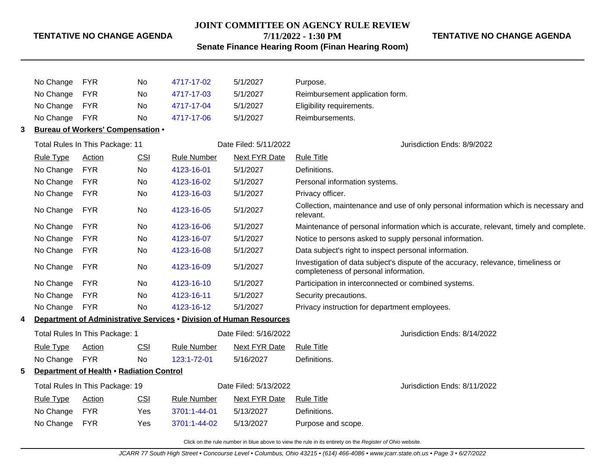#### **JOINT COMMITTEE ON AGENCY RULE REVIEW**

#### **7/11/2022 - 1:30 PM**

# **TENTATIVE NO CHANGE AGENDA**

**Senate Finance Hearing Room (Finan Hearing Room)**

|   | No Change        | <b>FYR</b>                               | No         | 4717-17-02                                                          | 5/1/2027              | Purpose.                                                                                                                   |
|---|------------------|------------------------------------------|------------|---------------------------------------------------------------------|-----------------------|----------------------------------------------------------------------------------------------------------------------------|
|   | No Change        | <b>FYR</b>                               | No         | 4717-17-03                                                          | 5/1/2027              | Reimbursement application form.                                                                                            |
|   | No Change        | <b>FYR</b>                               | No         | 4717-17-04                                                          | 5/1/2027              | Eligibility requirements.                                                                                                  |
|   | No Change        | <b>FYR</b>                               | <b>No</b>  | 4717-17-06                                                          | 5/1/2027              | Reimbursements.                                                                                                            |
| 3 |                  | <b>Bureau of Workers' Compensation •</b> |            |                                                                     |                       |                                                                                                                            |
|   |                  | Total Rules In This Package: 11          |            |                                                                     | Date Filed: 5/11/2022 | Jurisdiction Ends: 8/9/2022                                                                                                |
|   | <b>Rule Type</b> | <b>Action</b>                            | CSI        | <b>Rule Number</b>                                                  | Next FYR Date         | <b>Rule Title</b>                                                                                                          |
|   | No Change        | <b>FYR</b>                               | No         | 4123-16-01                                                          | 5/1/2027              | Definitions.                                                                                                               |
|   | No Change        | <b>FYR</b>                               | No         | 4123-16-02                                                          | 5/1/2027              | Personal information systems.                                                                                              |
|   | No Change        | <b>FYR</b>                               | No         | 4123-16-03                                                          | 5/1/2027              | Privacy officer.                                                                                                           |
|   | No Change        | <b>FYR</b>                               | No         | 4123-16-05                                                          | 5/1/2027              | Collection, maintenance and use of only personal information which is necessary and<br>relevant.                           |
|   | No Change        | <b>FYR</b>                               | <b>No</b>  | 4123-16-06                                                          | 5/1/2027              | Maintenance of personal information which is accurate, relevant, timely and complete.                                      |
|   | No Change        | <b>FYR</b>                               | No         | 4123-16-07                                                          | 5/1/2027              | Notice to persons asked to supply personal information.                                                                    |
|   | No Change        | <b>FYR</b>                               | No         | 4123-16-08                                                          | 5/1/2027              | Data subject's right to inspect personal information.                                                                      |
|   | No Change        | <b>FYR</b>                               | No         | 4123-16-09                                                          | 5/1/2027              | Investigation of data subject's dispute of the accuracy, relevance, timeliness or<br>completeness of personal information. |
|   | No Change        | <b>FYR</b>                               | No         | 4123-16-10                                                          | 5/1/2027              | Participation in interconnected or combined systems.                                                                       |
|   | No Change        | <b>FYR</b>                               | No         | 4123-16-11                                                          | 5/1/2027              | Security precautions.                                                                                                      |
|   | No Change        | <b>FYR</b>                               | <b>No</b>  | 4123-16-12                                                          | 5/1/2027              | Privacy instruction for department employees.                                                                              |
| 4 |                  |                                          |            | Department of Administrative Services . Division of Human Resources |                       |                                                                                                                            |
|   |                  | Total Rules In This Package: 1           |            |                                                                     | Date Filed: 5/16/2022 | Jurisdiction Ends: 8/14/2022                                                                                               |
|   | <b>Rule Type</b> | <b>Action</b>                            | <b>CSI</b> | <b>Rule Number</b>                                                  | <b>Next FYR Date</b>  | <b>Rule Title</b>                                                                                                          |
|   | No Change        | <b>FYR</b>                               | <b>No</b>  | 123:1-72-01                                                         | 5/16/2027             | Definitions.                                                                                                               |
| 5 |                  | Department of Health . Radiation Control |            |                                                                     |                       |                                                                                                                            |
|   |                  | Total Rules In This Package: 19          |            |                                                                     | Date Filed: 5/13/2022 | Jurisdiction Ends: 8/11/2022                                                                                               |
|   | <b>Rule Type</b> | <b>Action</b>                            | CSI        | <b>Rule Number</b>                                                  | <b>Next FYR Date</b>  | <b>Rule Title</b>                                                                                                          |
|   | No Change        | <b>FYR</b>                               | Yes        | 3701:1-44-01                                                        | 5/13/2027             | Definitions.                                                                                                               |
|   | No Change        | <b>FYR</b>                               | Yes        | 3701:1-44-02                                                        | 5/13/2027             | Purpose and scope.                                                                                                         |
|   |                  |                                          |            |                                                                     |                       |                                                                                                                            |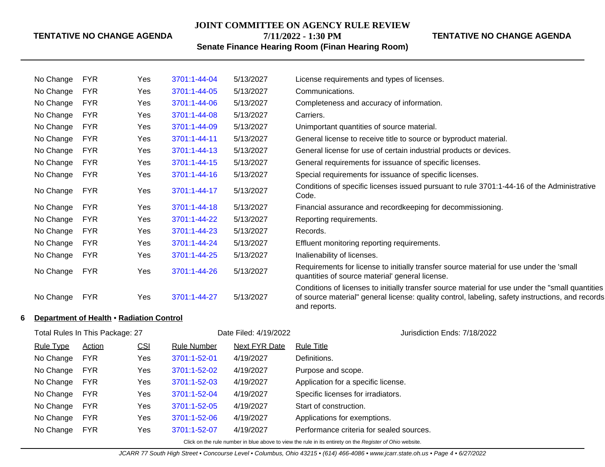#### **JOINT COMMITTEE ON AGENCY RULE REVIEW 7/11/2022 - 1:30 PM**

#### **TENTATIVE NO CHANGE AGENDA**

**Senate Finance Hearing Room (Finan Hearing Room)**

| Conditions of specific licenses issued pursuant to rule 3701:1-44-16 of the Administrative                                                                                                            |
|-------------------------------------------------------------------------------------------------------------------------------------------------------------------------------------------------------|
|                                                                                                                                                                                                       |
|                                                                                                                                                                                                       |
|                                                                                                                                                                                                       |
|                                                                                                                                                                                                       |
|                                                                                                                                                                                                       |
| Requirements for license to initially transfer source material for use under the 'small                                                                                                               |
| Conditions of licenses to initially transfer source material for use under the "small quantities"<br>of source material" general license: quality control, labeling, safety instructions, and records |
|                                                                                                                                                                                                       |
|                                                                                                                                                                                                       |
|                                                                                                                                                                                                       |
|                                                                                                                                                                                                       |
|                                                                                                                                                                                                       |
|                                                                                                                                                                                                       |
|                                                                                                                                                                                                       |
|                                                                                                                                                                                                       |

No Change FYR Yes [3701:1-52-06](http://www.registerofohio.state.oh.us/jsps/publicdisplayrules/processPublicDisplayRules.jsp?entered_rule_no=3701:1-52-06&doWhat=GETBYRULENUM&raID=0) 4/19/2027 Applications for exemptions. No Change FYR Yes [3701:1-52-07](http://www.registerofohio.state.oh.us/jsps/publicdisplayrules/processPublicDisplayRules.jsp?entered_rule_no=3701:1-52-07&doWhat=GETBYRULENUM&raID=0) 4/19/2027 Performance criteria for sealed sources.

No Change FYR Yes [3701:1-52-05](http://www.registerofohio.state.oh.us/jsps/publicdisplayrules/processPublicDisplayRules.jsp?entered_rule_no=3701:1-52-05&doWhat=GETBYRULENUM&raID=0) 4/19/2027 Start of construction.

Click on the rule number in blue above to view the rule in its entirety on the Register of Ohio website.

JCARR 77 South High Street • Concourse Level • Columbus, Ohio 43215 • (614) 466-4086 • www.jcarr.state.oh.us • Page 4 • 6/27/2022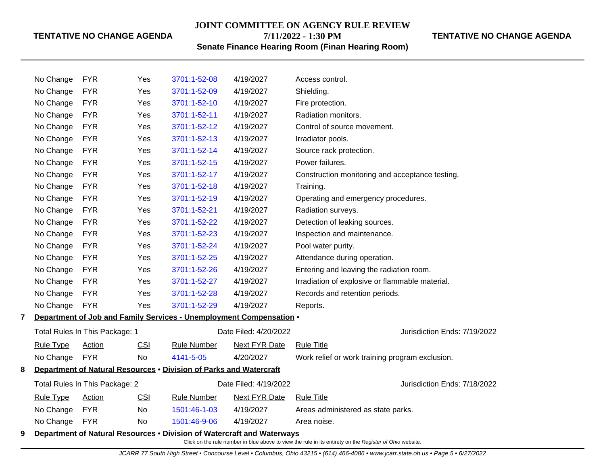**JOINT COMMITTEE ON AGENCY RULE REVIEW**

**7/11/2022 - 1:30 PM**

# **TENTATIVE NO CHANGE AGENDA**

| <b>Senate Finance Hearing Room (Finan Hearing Room)</b> |  |  |
|---------------------------------------------------------|--|--|
|---------------------------------------------------------|--|--|

|                                                                         | No Change        | <b>FYR</b>                     | Yes        | 3701:1-52-08                                                           | 4/19/2027             | Access control.                                 |                              |
|-------------------------------------------------------------------------|------------------|--------------------------------|------------|------------------------------------------------------------------------|-----------------------|-------------------------------------------------|------------------------------|
|                                                                         | No Change        | <b>FYR</b>                     | Yes        | 3701:1-52-09                                                           | 4/19/2027             | Shielding.                                      |                              |
|                                                                         | No Change        | <b>FYR</b>                     | Yes        | 3701:1-52-10                                                           | 4/19/2027             | Fire protection.                                |                              |
|                                                                         | No Change        | <b>FYR</b>                     | Yes        | 3701:1-52-11                                                           | 4/19/2027             | Radiation monitors.                             |                              |
|                                                                         | No Change        | <b>FYR</b>                     | Yes        | 3701:1-52-12                                                           | 4/19/2027             | Control of source movement.                     |                              |
|                                                                         | No Change        | <b>FYR</b>                     | Yes        | 3701:1-52-13                                                           | 4/19/2027             | Irradiator pools.                               |                              |
|                                                                         | No Change        | <b>FYR</b>                     | Yes        | 3701:1-52-14                                                           | 4/19/2027             | Source rack protection.                         |                              |
|                                                                         | No Change        | <b>FYR</b>                     | Yes        | 3701:1-52-15                                                           | 4/19/2027             | Power failures.                                 |                              |
|                                                                         | No Change        | <b>FYR</b>                     | Yes        | 3701:1-52-17                                                           | 4/19/2027             | Construction monitoring and acceptance testing. |                              |
|                                                                         | No Change        | <b>FYR</b>                     | Yes        | 3701:1-52-18                                                           | 4/19/2027             | Training.                                       |                              |
|                                                                         | No Change        | <b>FYR</b>                     | Yes        | 3701:1-52-19                                                           | 4/19/2027             | Operating and emergency procedures.             |                              |
|                                                                         | No Change        | <b>FYR</b>                     | Yes        | 3701:1-52-21                                                           | 4/19/2027             | Radiation surveys.                              |                              |
|                                                                         | No Change        | <b>FYR</b>                     | Yes        | 3701:1-52-22                                                           | 4/19/2027             | Detection of leaking sources.                   |                              |
|                                                                         | No Change        | <b>FYR</b>                     | Yes        | 3701:1-52-23                                                           | 4/19/2027             | Inspection and maintenance.                     |                              |
|                                                                         | No Change        | <b>FYR</b>                     | Yes        | 3701:1-52-24                                                           | 4/19/2027             | Pool water purity.                              |                              |
|                                                                         | No Change        | <b>FYR</b>                     | Yes        | 3701:1-52-25                                                           | 4/19/2027             | Attendance during operation.                    |                              |
|                                                                         | No Change        | <b>FYR</b>                     | Yes        | 3701:1-52-26                                                           | 4/19/2027             | Entering and leaving the radiation room.        |                              |
|                                                                         | No Change        | <b>FYR</b>                     | Yes        | 3701:1-52-27                                                           | 4/19/2027             | Irradiation of explosive or flammable material. |                              |
|                                                                         | No Change        | <b>FYR</b>                     | Yes        | 3701:1-52-28                                                           | 4/19/2027             | Records and retention periods.                  |                              |
|                                                                         | No Change        | <b>FYR</b>                     | Yes        | 3701:1-52-29                                                           | 4/19/2027             | Reports.                                        |                              |
| 7                                                                       |                  |                                |            | Department of Job and Family Services - Unemployment Compensation .    |                       |                                                 |                              |
|                                                                         |                  | Total Rules In This Package: 1 |            |                                                                        | Date Filed: 4/20/2022 |                                                 | Jurisdiction Ends: 7/19/2022 |
|                                                                         | <b>Rule Type</b> | <b>Action</b>                  | <b>CSI</b> | <b>Rule Number</b>                                                     | <b>Next FYR Date</b>  | <b>Rule Title</b>                               |                              |
|                                                                         | No Change        | <b>FYR</b>                     | No         | 4141-5-05                                                              | 4/20/2027             | Work relief or work training program exclusion. |                              |
| Department of Natural Resources . Division of Parks and Watercraft<br>8 |                  |                                |            |                                                                        |                       |                                                 |                              |
|                                                                         |                  | Total Rules In This Package: 2 |            |                                                                        | Date Filed: 4/19/2022 |                                                 | Jurisdiction Ends: 7/18/2022 |
|                                                                         | <b>Rule Type</b> | Action                         | CSI        | <b>Rule Number</b>                                                     | <b>Next FYR Date</b>  | <b>Rule Title</b>                               |                              |
|                                                                         | No Change        | <b>FYR</b>                     | No         | 1501:46-1-03                                                           | 4/19/2027             | Areas administered as state parks.              |                              |
|                                                                         | No Change        | <b>FYR</b>                     | <b>No</b>  | 1501:46-9-06                                                           | 4/19/2027             | Area noise.                                     |                              |
| 9                                                                       |                  |                                |            | Department of Natural Resources . Division of Watercraft and Waterways |                       |                                                 |                              |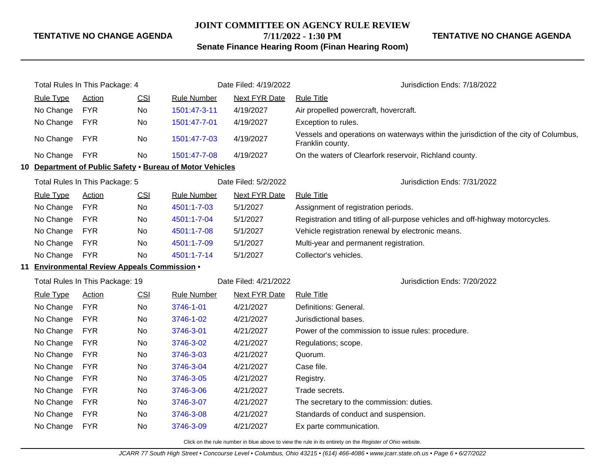#### **JOINT COMMITTEE ON AGENCY RULE REVIEW**

**7/11/2022 - 1:30 PM**

# **Senate Finance Hearing Room (Finan Hearing Room)**

**TENTATIVE NO CHANGE AGENDA**

| Total Rules In This Package: 4 |                  |                                              | Date Filed: 4/19/2022 | Jurisdiction Ends: 7/18/2022                              |                       |                                                                                                          |
|--------------------------------|------------------|----------------------------------------------|-----------------------|-----------------------------------------------------------|-----------------------|----------------------------------------------------------------------------------------------------------|
|                                | <b>Rule Type</b> | Action                                       | CSI                   | <b>Rule Number</b>                                        | <b>Next FYR Date</b>  | <b>Rule Title</b>                                                                                        |
|                                | No Change        | <b>FYR</b>                                   | No                    | 1501:47-3-11                                              | 4/19/2027             | Air propelled powercraft, hovercraft.                                                                    |
|                                | No Change        | <b>FYR</b>                                   | No                    | 1501:47-7-01                                              | 4/19/2027             | Exception to rules.                                                                                      |
|                                | No Change        | <b>FYR</b>                                   | No                    | 1501:47-7-03                                              | 4/19/2027             | Vessels and operations on waterways within the jurisdiction of the city of Columbus,<br>Franklin county. |
|                                | No Change        | <b>FYR</b>                                   | No                    | 1501:47-7-08                                              | 4/19/2027             | On the waters of Clearfork reservoir, Richland county.                                                   |
|                                |                  |                                              |                       | 10 Department of Public Safety . Bureau of Motor Vehicles |                       |                                                                                                          |
|                                |                  | Total Rules In This Package: 5               |                       |                                                           | Date Filed: 5/2/2022  | Jurisdiction Ends: 7/31/2022                                                                             |
|                                | <b>Rule Type</b> | <b>Action</b>                                | CSI                   | <b>Rule Number</b>                                        | <b>Next FYR Date</b>  | <b>Rule Title</b>                                                                                        |
|                                | No Change        | <b>FYR</b>                                   | No                    | 4501:1-7-03                                               | 5/1/2027              | Assignment of registration periods.                                                                      |
|                                | No Change        | <b>FYR</b>                                   | No                    | 4501:1-7-04                                               | 5/1/2027              | Registration and titling of all-purpose vehicles and off-highway motorcycles.                            |
|                                | No Change        | <b>FYR</b>                                   | No                    | 4501:1-7-08                                               | 5/1/2027              | Vehicle registration renewal by electronic means.                                                        |
|                                | No Change        | <b>FYR</b>                                   | No                    | 4501:1-7-09                                               | 5/1/2027              | Multi-year and permanent registration.                                                                   |
|                                | No Change        | <b>FYR</b>                                   | No                    | 4501:1-7-14                                               | 5/1/2027              | Collector's vehicles.                                                                                    |
|                                |                  | 11 Environmental Review Appeals Commission . |                       |                                                           |                       |                                                                                                          |
|                                |                  | Total Rules In This Package: 19              |                       |                                                           | Date Filed: 4/21/2022 | Jurisdiction Ends: 7/20/2022                                                                             |
|                                | <b>Rule Type</b> | <b>Action</b>                                | CSI                   | <b>Rule Number</b>                                        | <b>Next FYR Date</b>  | <b>Rule Title</b>                                                                                        |
|                                | No Change        | <b>FYR</b>                                   | No                    | 3746-1-01                                                 | 4/21/2027             | Definitions: General.                                                                                    |
|                                | No Change        | <b>FYR</b>                                   | No                    | 3746-1-02                                                 | 4/21/2027             | Jurisdictional bases.                                                                                    |
|                                | No Change        | <b>FYR</b>                                   | No                    | 3746-3-01                                                 | 4/21/2027             | Power of the commission to issue rules: procedure.                                                       |
|                                | No Change        | <b>FYR</b>                                   | No                    | 3746-3-02                                                 | 4/21/2027             | Regulations; scope.                                                                                      |
|                                | No Change        | <b>FYR</b>                                   | No                    | 3746-3-03                                                 | 4/21/2027             | Quorum.                                                                                                  |
|                                | No Change        | <b>FYR</b>                                   | No                    | 3746-3-04                                                 | 4/21/2027             | Case file.                                                                                               |
|                                | No Change        | <b>FYR</b>                                   | No                    | 3746-3-05                                                 | 4/21/2027             | Registry.                                                                                                |
|                                | No Change        | <b>FYR</b>                                   | No                    | 3746-3-06                                                 | 4/21/2027             | Trade secrets.                                                                                           |
|                                | No Change        | <b>FYR</b>                                   | No                    | 3746-3-07                                                 | 4/21/2027             | The secretary to the commission: duties.                                                                 |
|                                | No Change        | <b>FYR</b>                                   | No                    | 3746-3-08                                                 | 4/21/2027             | Standards of conduct and suspension.                                                                     |
|                                | No Change        | <b>FYR</b>                                   | No                    | 3746-3-09                                                 | 4/21/2027             | Ex parte communication.                                                                                  |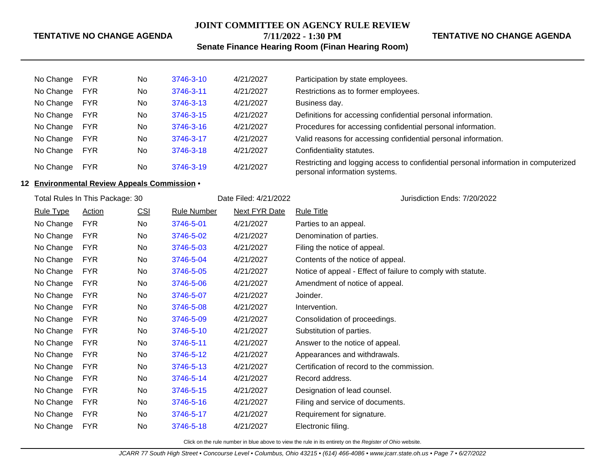# **JOINT COMMITTEE ON AGENCY RULE REVIEW 7/11/2022 - 1:30 PM**

#### **TENTATIVE NO CHANGE AGENDA**

**Senate Finance Hearing Room (Finan Hearing Room)**

| No Change | <b>FYR</b> | No. | 3746-3-10 | 4/21/2027 | Participation by state employees.                                                                                    |
|-----------|------------|-----|-----------|-----------|----------------------------------------------------------------------------------------------------------------------|
| No Change | <b>FYR</b> | No. | 3746-3-11 | 4/21/2027 | Restrictions as to former employees.                                                                                 |
| No Change | <b>FYR</b> | No. | 3746-3-13 | 4/21/2027 | Business day.                                                                                                        |
| No Change | <b>FYR</b> | No. | 3746-3-15 | 4/21/2027 | Definitions for accessing confidential personal information.                                                         |
| No Change | <b>FYR</b> | No. | 3746-3-16 | 4/21/2027 | Procedures for accessing confidential personal information.                                                          |
| No Change | <b>FYR</b> | No. | 3746-3-17 | 4/21/2027 | Valid reasons for accessing confidential personal information.                                                       |
| No Change | <b>FYR</b> | No. | 3746-3-18 | 4/21/2027 | Confidentiality statutes.                                                                                            |
| No Change | <b>FYR</b> | No. | 3746-3-19 | 4/21/2027 | Restricting and logging access to confidential personal information in computerized<br>personal information systems. |

#### **12 Environmental Review Appeals Commission** •

| Total Rules In This Package: 30 |               |            |                    | Date Filed: 4/21/2022 | Jurisdiction Ends: 7/20/2022                                 |  |
|---------------------------------|---------------|------------|--------------------|-----------------------|--------------------------------------------------------------|--|
| <b>Rule Type</b>                | <b>Action</b> | <u>CSI</u> | <b>Rule Number</b> | <b>Next FYR Date</b>  | <b>Rule Title</b>                                            |  |
| No Change                       | <b>FYR</b>    | No         | 3746-5-01          | 4/21/2027             | Parties to an appeal.                                        |  |
| No Change                       | <b>FYR</b>    | No         | 3746-5-02          | 4/21/2027             | Denomination of parties.                                     |  |
| No Change                       | <b>FYR</b>    | No         | 3746-5-03          | 4/21/2027             | Filing the notice of appeal.                                 |  |
| No Change                       | <b>FYR</b>    | No         | 3746-5-04          | 4/21/2027             | Contents of the notice of appeal.                            |  |
| No Change                       | <b>FYR</b>    | No         | 3746-5-05          | 4/21/2027             | Notice of appeal - Effect of failure to comply with statute. |  |
| No Change                       | <b>FYR</b>    | No         | 3746-5-06          | 4/21/2027             | Amendment of notice of appeal.                               |  |
| No Change                       | <b>FYR</b>    | No         | 3746-5-07          | 4/21/2027             | Joinder.                                                     |  |
| No Change                       | <b>FYR</b>    | No         | 3746-5-08          | 4/21/2027             | Intervention.                                                |  |
| No Change                       | <b>FYR</b>    | No         | 3746-5-09          | 4/21/2027             | Consolidation of proceedings.                                |  |
| No Change                       | <b>FYR</b>    | No         | 3746-5-10          | 4/21/2027             | Substitution of parties.                                     |  |
| No Change                       | <b>FYR</b>    | No         | 3746-5-11          | 4/21/2027             | Answer to the notice of appeal.                              |  |
| No Change                       | <b>FYR</b>    | No         | 3746-5-12          | 4/21/2027             | Appearances and withdrawals.                                 |  |
| No Change                       | <b>FYR</b>    | No         | 3746-5-13          | 4/21/2027             | Certification of record to the commission.                   |  |
| No Change                       | <b>FYR</b>    | No         | 3746-5-14          | 4/21/2027             | Record address.                                              |  |
| No Change                       | <b>FYR</b>    | No         | 3746-5-15          | 4/21/2027             | Designation of lead counsel.                                 |  |
| No Change                       | <b>FYR</b>    | No         | 3746-5-16          | 4/21/2027             | Filing and service of documents.                             |  |
| No Change                       | <b>FYR</b>    | No         | 3746-5-17          | 4/21/2027             | Requirement for signature.                                   |  |
| No Change                       | <b>FYR</b>    | No         | 3746-5-18          | 4/21/2027             | Electronic filing.                                           |  |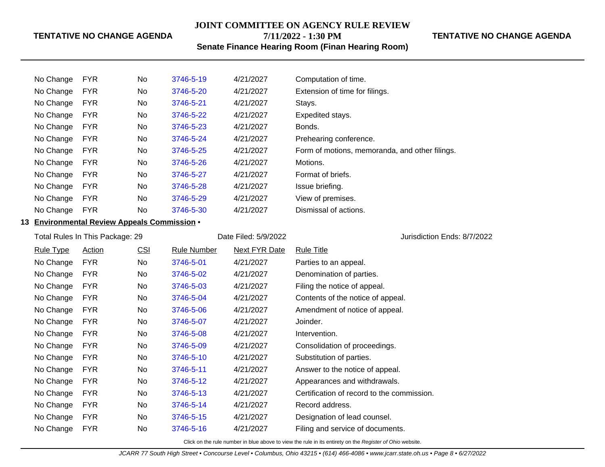# **JOINT COMMITTEE ON AGENCY RULE REVIEW 7/11/2022 - 1:30 PM**

# **TENTATIVE NO CHANGE AGENDA**

**Senate Finance Hearing Room (Finan Hearing Room)**

| No Change | <b>FYR</b> | <b>No</b> | 3746-5-19 | 4/21/2027 | Computation of time.                           |
|-----------|------------|-----------|-----------|-----------|------------------------------------------------|
| No Change | <b>FYR</b> | <b>No</b> | 3746-5-20 | 4/21/2027 | Extension of time for filings.                 |
| No Change | <b>FYR</b> | No        | 3746-5-21 | 4/21/2027 | Stays.                                         |
| No Change | <b>FYR</b> | <b>No</b> | 3746-5-22 | 4/21/2027 | Expedited stays.                               |
| No Change | <b>FYR</b> | <b>No</b> | 3746-5-23 | 4/21/2027 | Bonds.                                         |
| No Change | <b>FYR</b> | <b>No</b> | 3746-5-24 | 4/21/2027 | Prehearing conference.                         |
| No Change | <b>FYR</b> | <b>No</b> | 3746-5-25 | 4/21/2027 | Form of motions, memoranda, and other filings. |
| No Change | <b>FYR</b> | <b>No</b> | 3746-5-26 | 4/21/2027 | Motions.                                       |
| No Change | <b>FYR</b> | <b>No</b> | 3746-5-27 | 4/21/2027 | Format of briefs.                              |
| No Change | <b>FYR</b> | <b>No</b> | 3746-5-28 | 4/21/2027 | Issue briefing.                                |
| No Change | <b>FYR</b> | <b>No</b> | 3746-5-29 | 4/21/2027 | View of premises.                              |
| No Change | <b>FYR</b> | <b>No</b> | 3746-5-30 | 4/21/2027 | Dismissal of actions.                          |

#### **13 Environmental Review Appeals Commission** •

| Total Rules In This Package: 29 |               |            |                    | Date Filed: 5/9/2022 | Jurisdiction Ends: 8/7/2022                |  |
|---------------------------------|---------------|------------|--------------------|----------------------|--------------------------------------------|--|
| <b>Rule Type</b>                | <b>Action</b> | <u>CSI</u> | <b>Rule Number</b> | <b>Next FYR Date</b> | <b>Rule Title</b>                          |  |
| No Change                       | <b>FYR</b>    | No.        | 3746-5-01          | 4/21/2027            | Parties to an appeal.                      |  |
| No Change                       | <b>FYR</b>    | No         | 3746-5-02          | 4/21/2027            | Denomination of parties.                   |  |
| No Change                       | <b>FYR</b>    | No         | 3746-5-03          | 4/21/2027            | Filing the notice of appeal.               |  |
| No Change                       | <b>FYR</b>    | No         | 3746-5-04          | 4/21/2027            | Contents of the notice of appeal.          |  |
| No Change                       | <b>FYR</b>    | No         | 3746-5-06          | 4/21/2027            | Amendment of notice of appeal.             |  |
| No Change                       | <b>FYR</b>    | No         | 3746-5-07          | 4/21/2027            | Joinder.                                   |  |
| No Change                       | <b>FYR</b>    | No.        | 3746-5-08          | 4/21/2027            | Intervention.                              |  |
| No Change                       | <b>FYR</b>    | No         | 3746-5-09          | 4/21/2027            | Consolidation of proceedings.              |  |
| No Change                       | <b>FYR</b>    | No         | 3746-5-10          | 4/21/2027            | Substitution of parties.                   |  |
| No Change                       | <b>FYR</b>    | No         | 3746-5-11          | 4/21/2027            | Answer to the notice of appeal.            |  |
| No Change                       | <b>FYR</b>    | No         | 3746-5-12          | 4/21/2027            | Appearances and withdrawals.               |  |
| No Change                       | <b>FYR</b>    | No         | 3746-5-13          | 4/21/2027            | Certification of record to the commission. |  |
| No Change                       | <b>FYR</b>    | No         | 3746-5-14          | 4/21/2027            | Record address.                            |  |
| No Change                       | <b>FYR</b>    | No         | 3746-5-15          | 4/21/2027            | Designation of lead counsel.               |  |
| No Change                       | <b>FYR</b>    | No.        | 3746-5-16          | 4/21/2027            | Filing and service of documents.           |  |
|                                 |               |            |                    |                      |                                            |  |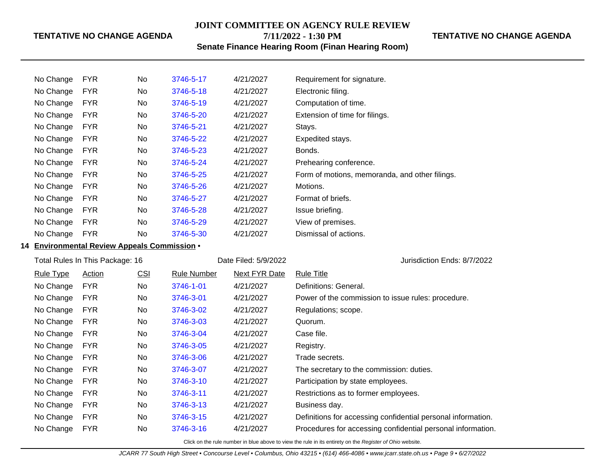# **JOINT COMMITTEE ON AGENCY RULE REVIEW 7/11/2022 - 1:30 PM**

# **TENTATIVE NO CHANGE AGENDA**

**Senate Finance Hearing Room (Finan Hearing Room)**

| <b>FYR</b><br>No Change | No. | 3746-5-17 | 4/21/2027 | Requirement for signature.                     |
|-------------------------|-----|-----------|-----------|------------------------------------------------|
| No Change<br><b>FYR</b> | No  | 3746-5-18 | 4/21/2027 | Electronic filing.                             |
| No Change<br><b>FYR</b> | No. | 3746-5-19 | 4/21/2027 | Computation of time.                           |
| No Change<br><b>FYR</b> | No. | 3746-5-20 | 4/21/2027 | Extension of time for filings.                 |
| <b>FYR</b><br>No Change | No. | 3746-5-21 | 4/21/2027 | Stays.                                         |
| No Change<br><b>FYR</b> | No. | 3746-5-22 | 4/21/2027 | Expedited stays.                               |
| No Change<br><b>FYR</b> | No  | 3746-5-23 | 4/21/2027 | Bonds.                                         |
| <b>FYR</b><br>No Change | No  | 3746-5-24 | 4/21/2027 | Prehearing conference.                         |
| No Change<br><b>FYR</b> | No. | 3746-5-25 | 4/21/2027 | Form of motions, memoranda, and other filings. |
| No Change<br><b>FYR</b> | No. | 3746-5-26 | 4/21/2027 | Motions.                                       |
| <b>FYR</b><br>No Change | No  | 3746-5-27 | 4/21/2027 | Format of briefs.                              |
| No Change<br><b>FYR</b> | No  | 3746-5-28 | 4/21/2027 | Issue briefing.                                |
| <b>FYR</b><br>No Change | No  | 3746-5-29 | 4/21/2027 | View of premises.                              |
| <b>FYR</b><br>No Change | No  | 3746-5-30 | 4/21/2027 | Dismissal of actions.                          |

## **14 Environmental Review Appeals Commission** •

| Total Rules In This Package: 16 |               |            |             | Date Filed: 5/9/2022 | Jurisdiction Ends: 8/7/2022                                  |
|---------------------------------|---------------|------------|-------------|----------------------|--------------------------------------------------------------|
| <b>Rule Type</b>                | <b>Action</b> | <u>CSI</u> | Rule Number | <b>Next FYR Date</b> | Rule Title                                                   |
| No Change                       | FYR.          | No.        | 3746-1-01   | 4/21/2027            | Definitions: General.                                        |
| No Change                       | FYR.          | No         | 3746-3-01   | 4/21/2027            | Power of the commission to issue rules: procedure.           |
| No Change                       | <b>FYR</b>    | No         | 3746-3-02   | 4/21/2027            | Regulations; scope.                                          |
| No Change                       | <b>FYR</b>    | No         | 3746-3-03   | 4/21/2027            | Quorum.                                                      |
| No Change                       | FYR.          | No         | 3746-3-04   | 4/21/2027            | Case file.                                                   |
| No Change                       | <b>FYR</b>    | No         | 3746-3-05   | 4/21/2027            | Registry.                                                    |
| No Change                       | FYR.          | No         | 3746-3-06   | 4/21/2027            | Trade secrets.                                               |
| No Change                       | <b>FYR</b>    | No         | 3746-3-07   | 4/21/2027            | The secretary to the commission: duties.                     |
| No Change                       | <b>FYR</b>    | <b>No</b>  | 3746-3-10   | 4/21/2027            | Participation by state employees.                            |
| No Change                       | <b>FYR</b>    | No         | 3746-3-11   | 4/21/2027            | Restrictions as to former employees.                         |
| No Change                       | <b>FYR</b>    | <b>No</b>  | 3746-3-13   | 4/21/2027            | Business day.                                                |
| No Change                       | FYR.          | No         | 3746-3-15   | 4/21/2027            | Definitions for accessing confidential personal information. |
| No Change                       | <b>FYR</b>    | No.        | 3746-3-16   | 4/21/2027            | Procedures for accessing confidential personal information.  |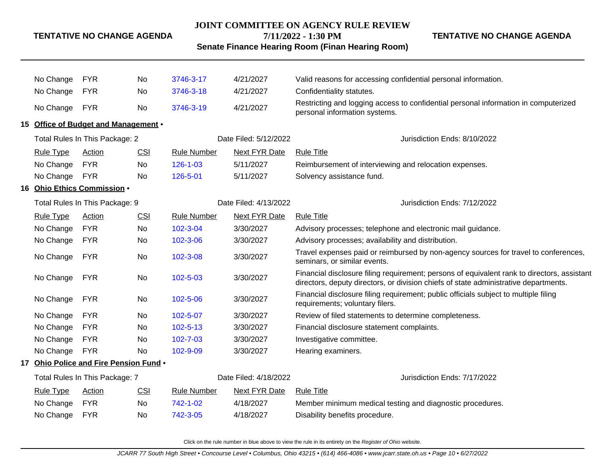# **JOINT COMMITTEE ON AGENCY RULE REVIEW**

### **TENTATIVE NO CHANGE AGENDA**

**7/11/2022 - 1:30 PM Senate Finance Hearing Room (Finan Hearing Room)** **TENTATIVE NO CHANGE AGENDA**

|                                | No Change        | <b>FYR</b>                             | No                    | 3746-3-17                    | 4/21/2027             | Valid reasons for accessing confidential personal information.                                                                                                                      |
|--------------------------------|------------------|----------------------------------------|-----------------------|------------------------------|-----------------------|-------------------------------------------------------------------------------------------------------------------------------------------------------------------------------------|
|                                | No Change        | <b>FYR</b>                             | No                    | 3746-3-18                    | 4/21/2027             | Confidentiality statutes.                                                                                                                                                           |
|                                | No Change        | <b>FYR</b>                             | <b>No</b>             | 3746-3-19                    | 4/21/2027             | Restricting and logging access to confidential personal information in computerized<br>personal information systems.                                                                |
|                                |                  | 15 Office of Budget and Management .   |                       |                              |                       |                                                                                                                                                                                     |
|                                |                  | Total Rules In This Package: 2         |                       |                              | Date Filed: 5/12/2022 | Jurisdiction Ends: 8/10/2022                                                                                                                                                        |
|                                | <b>Rule Type</b> | Action                                 | <b>CSI</b>            | <b>Rule Number</b>           | <b>Next FYR Date</b>  | <b>Rule Title</b>                                                                                                                                                                   |
|                                | No Change        | <b>FYR</b>                             | No                    | $126 - 1 - 03$               | 5/11/2027             | Reimbursement of interviewing and relocation expenses.                                                                                                                              |
|                                | No Change        | <b>FYR</b>                             | No                    | 126-5-01                     | 5/11/2027             | Solvency assistance fund.                                                                                                                                                           |
|                                |                  | 16 Ohio Ethics Commission .            |                       |                              |                       |                                                                                                                                                                                     |
| Total Rules In This Package: 9 |                  |                                        |                       |                              | Date Filed: 4/13/2022 | Jurisdiction Ends: 7/12/2022                                                                                                                                                        |
|                                | <b>Rule Type</b> | Action                                 | <b>CSI</b>            | <b>Rule Number</b>           | Next FYR Date         | <b>Rule Title</b>                                                                                                                                                                   |
|                                | No Change        | <b>FYR</b>                             | No                    | 102-3-04                     | 3/30/2027             | Advisory processes; telephone and electronic mail guidance.                                                                                                                         |
|                                | No Change        | <b>FYR</b>                             | No                    | 102-3-06                     | 3/30/2027             | Advisory processes; availability and distribution.                                                                                                                                  |
|                                | No Change        | <b>FYR</b>                             | No                    | 102-3-08                     | 3/30/2027             | Travel expenses paid or reimbursed by non-agency sources for travel to conferences,<br>seminars, or similar events.                                                                 |
|                                | No Change        | <b>FYR</b>                             | No                    | 102-5-03                     | 3/30/2027             | Financial disclosure filing requirement; persons of equivalent rank to directors, assistant<br>directors, deputy directors, or division chiefs of state administrative departments. |
|                                | No Change        | <b>FYR</b>                             | No                    | 102-5-06                     | 3/30/2027             | Financial disclosure filing requirement; public officials subject to multiple filing<br>requirements; voluntary filers.                                                             |
|                                | No Change        | <b>FYR</b>                             | No                    | 102-5-07                     | 3/30/2027             | Review of filed statements to determine completeness.                                                                                                                               |
|                                | No Change        | <b>FYR</b>                             | No                    | $102 - 5 - 13$               | 3/30/2027             | Financial disclosure statement complaints.                                                                                                                                          |
|                                | No Change        | <b>FYR</b>                             | <b>No</b>             | $102 - 7 - 03$               | 3/30/2027             | Investigative committee.                                                                                                                                                            |
|                                | No Change        | <b>FYR</b>                             | No                    | 102-9-09                     | 3/30/2027             | Hearing examiners.                                                                                                                                                                  |
|                                |                  | 17 Ohio Police and Fire Pension Fund . |                       |                              |                       |                                                                                                                                                                                     |
| Total Rules In This Package: 7 |                  |                                        | Date Filed: 4/18/2022 | Jurisdiction Ends: 7/17/2022 |                       |                                                                                                                                                                                     |
|                                | <b>Rule Type</b> | Action                                 | <b>CSI</b>            | <b>Rule Number</b>           | <b>Next FYR Date</b>  | <b>Rule Title</b>                                                                                                                                                                   |
|                                | No Change        | <b>FYR</b>                             | No                    | 742-1-02                     | 4/18/2027             | Member minimum medical testing and diagnostic procedures.                                                                                                                           |
|                                | No Change        | <b>FYR</b>                             | No                    | 742-3-05                     | 4/18/2027             | Disability benefits procedure.                                                                                                                                                      |
|                                |                  |                                        |                       |                              |                       |                                                                                                                                                                                     |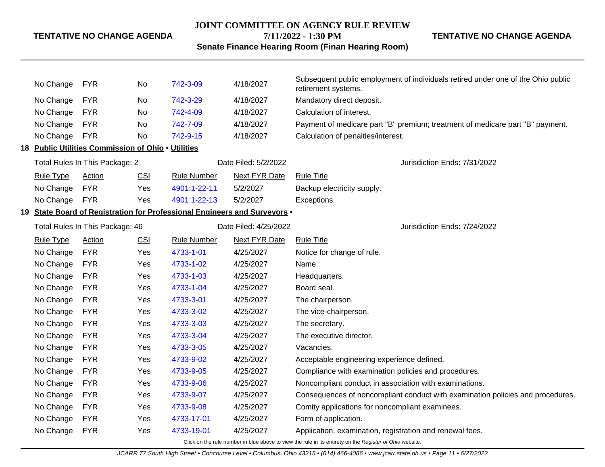# **JOINT COMMITTEE ON AGENCY RULE REVIEW 7/11/2022 - 1:30 PM**

**TENTATIVE NO CHANGE AGENDA**

# **Senate Finance Hearing Room (Finan Hearing Room)**

| No Change        | <b>FYR</b>                                         | No.        | 742-3-09                                                                  | 4/18/2027             | Subsequent public employment of individuals retired under one of the Ohio public<br>retirement systems.  |
|------------------|----------------------------------------------------|------------|---------------------------------------------------------------------------|-----------------------|----------------------------------------------------------------------------------------------------------|
| No Change        | <b>FYR</b>                                         | No         | 742-3-29                                                                  | 4/18/2027             | Mandatory direct deposit.                                                                                |
| No Change        | <b>FYR</b>                                         | No         | 742-4-09                                                                  | 4/18/2027             | Calculation of interest.                                                                                 |
| No Change        | <b>FYR</b>                                         | No         | 742-7-09                                                                  | 4/18/2027             | Payment of medicare part "B" premium; treatment of medicare part "B" payment.                            |
| No Change        | <b>FYR</b>                                         | No         | 742-9-15                                                                  | 4/18/2027             | Calculation of penalties/interest.                                                                       |
|                  | 18 Public Utilities Commission of Ohio . Utilities |            |                                                                           |                       |                                                                                                          |
|                  | Total Rules In This Package: 2                     |            |                                                                           | Date Filed: 5/2/2022  | Jurisdiction Ends: 7/31/2022                                                                             |
| <b>Rule Type</b> | Action                                             | <b>CSI</b> | <b>Rule Number</b>                                                        | <b>Next FYR Date</b>  | <b>Rule Title</b>                                                                                        |
| No Change        | <b>FYR</b>                                         | Yes        | 4901:1-22-11                                                              | 5/2/2027              | Backup electricity supply.                                                                               |
| No Change        | <b>FYR</b>                                         | Yes        | 4901:1-22-13                                                              | 5/2/2027              | Exceptions.                                                                                              |
|                  |                                                    |            | 19 State Board of Registration for Professional Engineers and Surveyors . |                       |                                                                                                          |
|                  | Total Rules In This Package: 46                    |            |                                                                           | Date Filed: 4/25/2022 | Jurisdiction Ends: 7/24/2022                                                                             |
| <b>Rule Type</b> | Action                                             | CSI        | <b>Rule Number</b>                                                        | <b>Next FYR Date</b>  | <b>Rule Title</b>                                                                                        |
| No Change        | <b>FYR</b>                                         | Yes        | 4733-1-01                                                                 | 4/25/2027             | Notice for change of rule.                                                                               |
| No Change        | <b>FYR</b>                                         | Yes        | 4733-1-02                                                                 | 4/25/2027             | Name.                                                                                                    |
| No Change        | <b>FYR</b>                                         | Yes        | 4733-1-03                                                                 | 4/25/2027             | Headquarters.                                                                                            |
| No Change        | <b>FYR</b>                                         | Yes        | 4733-1-04                                                                 | 4/25/2027             | Board seal.                                                                                              |
| No Change        | <b>FYR</b>                                         | Yes        | 4733-3-01                                                                 | 4/25/2027             | The chairperson.                                                                                         |
| No Change        | <b>FYR</b>                                         | Yes        | 4733-3-02                                                                 | 4/25/2027             | The vice-chairperson.                                                                                    |
| No Change        | <b>FYR</b>                                         | Yes        | 4733-3-03                                                                 | 4/25/2027             | The secretary.                                                                                           |
| No Change        | <b>FYR</b>                                         | Yes        | 4733-3-04                                                                 | 4/25/2027             | The executive director.                                                                                  |
| No Change        | <b>FYR</b>                                         | Yes        | 4733-3-05                                                                 | 4/25/2027             | Vacancies.                                                                                               |
| No Change        | <b>FYR</b>                                         | Yes        | 4733-9-02                                                                 | 4/25/2027             | Acceptable engineering experience defined.                                                               |
| No Change        | <b>FYR</b>                                         | Yes        | 4733-9-05                                                                 | 4/25/2027             | Compliance with examination policies and procedures.                                                     |
| No Change        | <b>FYR</b>                                         | Yes        | 4733-9-06                                                                 | 4/25/2027             | Noncompliant conduct in association with examinations.                                                   |
| No Change        | <b>FYR</b>                                         | Yes        | 4733-9-07                                                                 | 4/25/2027             | Consequences of noncompliant conduct with examination policies and procedures.                           |
| No Change        | <b>FYR</b>                                         | Yes        | 4733-9-08                                                                 | 4/25/2027             | Comity applications for noncompliant examinees.                                                          |
| No Change        | <b>FYR</b>                                         | Yes        | 4733-17-01                                                                | 4/25/2027             | Form of application.                                                                                     |
| No Change        | <b>FYR</b>                                         | Yes        | 4733-19-01                                                                | 4/25/2027             | Application, examination, registration and renewal fees.                                                 |
|                  |                                                    |            |                                                                           |                       | Click on the rule number in blue above to view the rule in its entirety on the Register of Ohio website. |

JCARR 77 South High Street • Concourse Level • Columbus, Ohio 43215 • (614) 466-4086 • www.jcarr.state.oh.us • Page 11 • 6/27/2022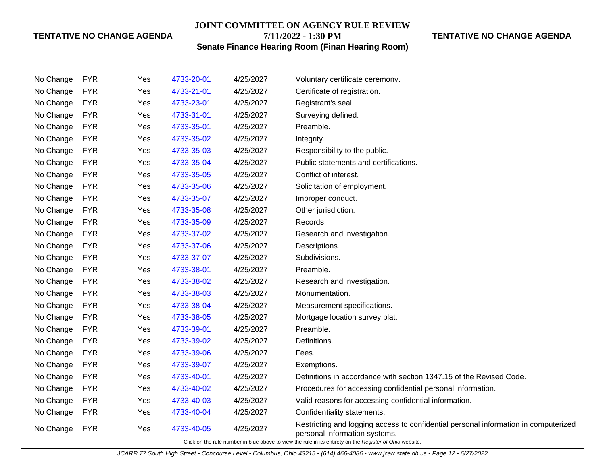#### **JOINT COMMITTEE ON AGENCY RULE REVIEW**

**7/11/2022 - 1:30 PM**

# **TENTATIVE NO CHANGE AGENDA**

**Senate Finance Hearing Room (Finan Hearing Room)**

| No Change                                                                                                | <b>FYR</b> | Yes | 4733-20-01 | 4/25/2027 | Voluntary certificate ceremony.                                                                                      |  |  |
|----------------------------------------------------------------------------------------------------------|------------|-----|------------|-----------|----------------------------------------------------------------------------------------------------------------------|--|--|
| No Change                                                                                                | <b>FYR</b> | Yes | 4733-21-01 | 4/25/2027 | Certificate of registration.                                                                                         |  |  |
| No Change                                                                                                | <b>FYR</b> | Yes | 4733-23-01 | 4/25/2027 | Registrant's seal.                                                                                                   |  |  |
| No Change                                                                                                | <b>FYR</b> | Yes | 4733-31-01 | 4/25/2027 | Surveying defined.                                                                                                   |  |  |
| No Change                                                                                                | <b>FYR</b> | Yes | 4733-35-01 | 4/25/2027 | Preamble.                                                                                                            |  |  |
| No Change                                                                                                | <b>FYR</b> | Yes | 4733-35-02 | 4/25/2027 | Integrity.                                                                                                           |  |  |
| No Change                                                                                                | <b>FYR</b> | Yes | 4733-35-03 | 4/25/2027 | Responsibility to the public.                                                                                        |  |  |
| No Change                                                                                                | <b>FYR</b> | Yes | 4733-35-04 | 4/25/2027 | Public statements and certifications.                                                                                |  |  |
| No Change                                                                                                | <b>FYR</b> | Yes | 4733-35-05 | 4/25/2027 | Conflict of interest.                                                                                                |  |  |
| No Change                                                                                                | <b>FYR</b> | Yes | 4733-35-06 | 4/25/2027 | Solicitation of employment.                                                                                          |  |  |
| No Change                                                                                                | <b>FYR</b> | Yes | 4733-35-07 | 4/25/2027 | Improper conduct.                                                                                                    |  |  |
| No Change                                                                                                | <b>FYR</b> | Yes | 4733-35-08 | 4/25/2027 | Other jurisdiction.                                                                                                  |  |  |
| No Change                                                                                                | <b>FYR</b> | Yes | 4733-35-09 | 4/25/2027 | Records.                                                                                                             |  |  |
| No Change                                                                                                | <b>FYR</b> | Yes | 4733-37-02 | 4/25/2027 | Research and investigation.                                                                                          |  |  |
| No Change                                                                                                | <b>FYR</b> | Yes | 4733-37-06 | 4/25/2027 | Descriptions.                                                                                                        |  |  |
| No Change                                                                                                | <b>FYR</b> | Yes | 4733-37-07 | 4/25/2027 | Subdivisions.                                                                                                        |  |  |
| No Change                                                                                                | <b>FYR</b> | Yes | 4733-38-01 | 4/25/2027 | Preamble.                                                                                                            |  |  |
| No Change                                                                                                | <b>FYR</b> | Yes | 4733-38-02 | 4/25/2027 | Research and investigation.                                                                                          |  |  |
| No Change                                                                                                | <b>FYR</b> | Yes | 4733-38-03 | 4/25/2027 | Monumentation.                                                                                                       |  |  |
| No Change                                                                                                | <b>FYR</b> | Yes | 4733-38-04 | 4/25/2027 | Measurement specifications.                                                                                          |  |  |
| No Change                                                                                                | <b>FYR</b> | Yes | 4733-38-05 | 4/25/2027 | Mortgage location survey plat.                                                                                       |  |  |
| No Change                                                                                                | <b>FYR</b> | Yes | 4733-39-01 | 4/25/2027 | Preamble.                                                                                                            |  |  |
| No Change                                                                                                | <b>FYR</b> | Yes | 4733-39-02 | 4/25/2027 | Definitions.                                                                                                         |  |  |
| No Change                                                                                                | <b>FYR</b> | Yes | 4733-39-06 | 4/25/2027 | Fees.                                                                                                                |  |  |
| No Change                                                                                                | <b>FYR</b> | Yes | 4733-39-07 | 4/25/2027 | Exemptions.                                                                                                          |  |  |
| No Change                                                                                                | <b>FYR</b> | Yes | 4733-40-01 | 4/25/2027 | Definitions in accordance with section 1347.15 of the Revised Code.                                                  |  |  |
| No Change                                                                                                | <b>FYR</b> | Yes | 4733-40-02 | 4/25/2027 | Procedures for accessing confidential personal information.                                                          |  |  |
| No Change                                                                                                | <b>FYR</b> | Yes | 4733-40-03 | 4/25/2027 | Valid reasons for accessing confidential information.                                                                |  |  |
| No Change                                                                                                | <b>FYR</b> | Yes | 4733-40-04 | 4/25/2027 | Confidentiality statements.                                                                                          |  |  |
| No Change                                                                                                | <b>FYR</b> | Yes | 4733-40-05 | 4/25/2027 | Restricting and logging access to confidential personal information in computerized<br>personal information systems. |  |  |
| Click on the rule number in blue above to view the rule in its entirety on the Register of Ohio website. |            |     |            |           |                                                                                                                      |  |  |

JCARR 77 South High Street • Concourse Level • Columbus, Ohio 43215 • (614) 466-4086 • www.jcarr.state.oh.us • Page 12 • 6/27/2022